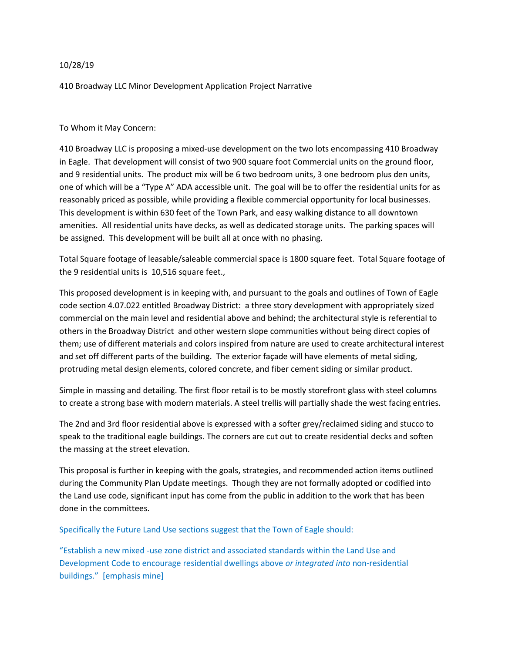## 10/28/19

410 Broadway LLC Minor Development Application Project Narrative

## To Whom it May Concern:

410 Broadway LLC is proposing a mixed-use development on the two lots encompassing 410 Broadway in Eagle. That development will consist of two 900 square foot Commercial units on the ground floor, and 9 residential units. The product mix will be 6 two bedroom units, 3 one bedroom plus den units, one of which will be a "Type A" ADA accessible unit. The goal will be to offer the residential units for as reasonably priced as possible, while providing a flexible commercial opportunity for local businesses. This development is within 630 feet of the Town Park, and easy walking distance to all downtown amenities. All residential units have decks, as well as dedicated storage units. The parking spaces will be assigned. This development will be built all at once with no phasing.

Total Square footage of leasable/saleable commercial space is 1800 square feet. Total Square footage of the 9 residential units is 10,516 square feet.,

This proposed development is in keeping with, and pursuant to the goals and outlines of Town of Eagle code section 4.07.022 entitled Broadway District: a three story development with appropriately sized commercial on the main level and residential above and behind; the architectural style is referential to others in the Broadway District and other western slope communities without being direct copies of them; use of different materials and colors inspired from nature are used to create architectural interest and set off different parts of the building. The exterior façade will have elements of metal siding, protruding metal design elements, colored concrete, and fiber cement siding or similar product.

Simple in massing and detailing. The first floor retail is to be mostly storefront glass with steel columns to create a strong base with modern materials. A steel trellis will partially shade the west facing entries.

The 2nd and 3rd floor residential above is expressed with a softer grey/reclaimed siding and stucco to speak to the traditional eagle buildings. The corners are cut out to create residential decks and soften the massing at the street elevation.

This proposal is further in keeping with the goals, strategies, and recommended action items outlined during the Community Plan Update meetings. Though they are not formally adopted or codified into the Land use code, significant input has come from the public in addition to the work that has been done in the committees.

## Specifically the Future Land Use sections suggest that the Town of Eagle should:

"Establish a new mixed -use zone district and associated standards within the Land Use and Development Code to encourage residential dwellings above *or integrated into* non-residential buildings." [emphasis mine]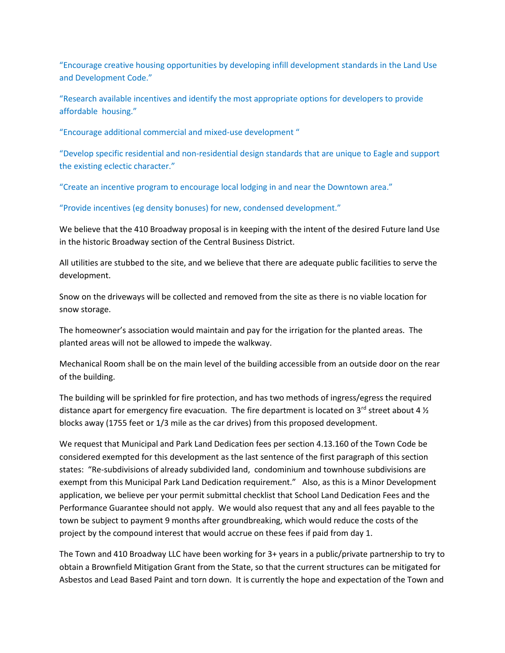"Encourage creative housing opportunities by developing infill development standards in the Land Use and Development Code."

"Research available incentives and identify the most appropriate options for developers to provide affordable housing."

"Encourage additional commercial and mixed-use development "

"Develop specific residential and non-residential design standards that are unique to Eagle and support the existing eclectic character."

"Create an incentive program to encourage local lodging in and near the Downtown area."

"Provide incentives (eg density bonuses) for new, condensed development."

We believe that the 410 Broadway proposal is in keeping with the intent of the desired Future land Use in the historic Broadway section of the Central Business District.

All utilities are stubbed to the site, and we believe that there are adequate public facilities to serve the development.

Snow on the driveways will be collected and removed from the site as there is no viable location for snow storage.

The homeowner's association would maintain and pay for the irrigation for the planted areas. The planted areas will not be allowed to impede the walkway.

Mechanical Room shall be on the main level of the building accessible from an outside door on the rear of the building.

The building will be sprinkled for fire protection, and has two methods of ingress/egress the required distance apart for emergency fire evacuation. The fire department is located on 3<sup>rd</sup> street about 4  $\frac{1}{2}$ blocks away (1755 feet or 1/3 mile as the car drives) from this proposed development.

We request that Municipal and Park Land Dedication fees per section 4.13.160 of the Town Code be considered exempted for this development as the last sentence of the first paragraph of this section states: "Re-subdivisions of already subdivided land, condominium and townhouse subdivisions are exempt from this Municipal Park Land Dedication requirement." Also, as this is a Minor Development application, we believe per your permit submittal checklist that School Land Dedication Fees and the Performance Guarantee should not apply. We would also request that any and all fees payable to the town be subject to payment 9 months after groundbreaking, which would reduce the costs of the project by the compound interest that would accrue on these fees if paid from day 1.

The Town and 410 Broadway LLC have been working for 3+ years in a public/private partnership to try to obtain a Brownfield Mitigation Grant from the State, so that the current structures can be mitigated for Asbestos and Lead Based Paint and torn down. It is currently the hope and expectation of the Town and